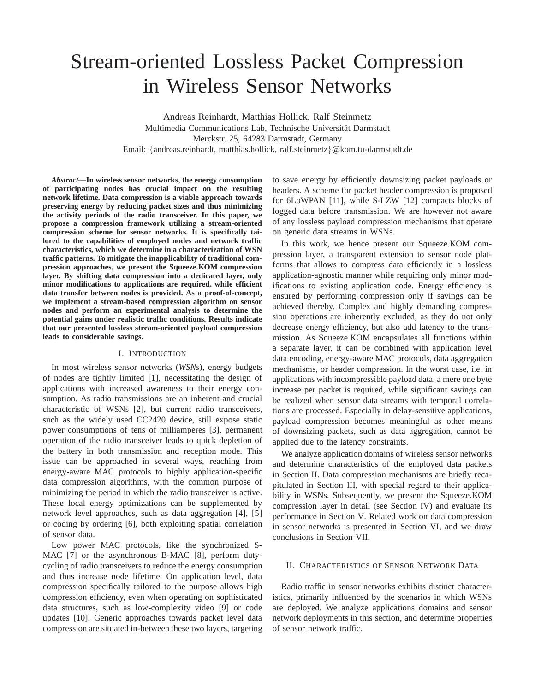# Stream-oriented Lossless Packet Compression in Wireless Sensor Networks

Andreas Reinhardt, Matthias Hollick, Ralf Steinmetz Multimedia Communications Lab, Technische Universität Darmstadt Merckstr. 25, 64283 Darmstadt, Germany Email: {andreas.reinhardt, matthias.hollick, ralf.steinmetz}@kom.tu-darmstadt.de

*Abstract***—In wireless sensor networks, the energy consumption of participating nodes has crucial impact on the resulting network lifetime. Data compression is a viable approach towards preserving energy by reducing packet sizes and thus minimizing the activity periods of the radio transceiver. In this paper, we propose a compression framework utilizing a stream-oriented compression scheme for sensor networks. It is specifically tailored to the capabilities of employed nodes and network traffic characteristics, which we determine in a characterization of WSN traffic patterns. To mitigate the inapplicability of traditional compression approaches, we present the Squeeze.KOM compression layer. By shifting data compression into a dedicated layer, only minor modifications to applications are required, while efficient data transfer between nodes is provided. As a proof-of-concept, we implement a stream-based compression algorithm on sensor nodes and perform an experimental analysis to determine the potential gains under realistic traffic conditions. Results indicate that our presented lossless stream-oriented payload compression leads to considerable savings.**

#### I. INTRODUCTION

In most wireless sensor networks (*WSNs*), energy budgets of nodes are tightly limited [1], necessitating the design of applications with increased awareness to their energy consumption. As radio transmissions are an inherent and crucial characteristic of WSNs [2], but current radio transceivers, such as the widely used CC2420 device, still expose static power consumptions of tens of milliamperes [3], permanent operation of the radio transceiver leads to quick depletion of the battery in both transmission and reception mode. This issue can be approached in several ways, reaching from energy-aware MAC protocols to highly application-specific data compression algorithms, with the common purpose of minimizing the period in which the radio transceiver is active. These local energy optimizations can be supplemented by network level approaches, such as data aggregation [4], [5] or coding by ordering [6], both exploiting spatial correlation of sensor data.

Low power MAC protocols, like the synchronized S-MAC [7] or the asynchronous B-MAC [8], perform dutycycling of radio transceivers to reduce the energy consumption and thus increase node lifetime. On application level, data compression specifically tailored to the purpose allows high compression efficiency, even when operating on sophisticated data structures, such as low-complexity video [9] or code updates [10]. Generic approaches towards packet level data compression are situated in-between these two layers, targeting

to save energy by efficiently downsizing packet payloads or headers. A scheme for packet header compression is proposed for 6LoWPAN [11], while S-LZW [12] compacts blocks of logged data before transmission. We are however not aware of any lossless payload compression mechanisms that operate on generic data streams in WSNs.

In this work, we hence present our Squeeze.KOM compression layer, a transparent extension to sensor node platforms that allows to compress data efficiently in a lossless application-agnostic manner while requiring only minor modifications to existing application code. Energy efficiency is ensured by performing compression only if savings can be achieved thereby. Complex and highly demanding compression operations are inherently excluded, as they do not only decrease energy efficiency, but also add latency to the transmission. As Squeeze.KOM encapsulates all functions within a separate layer, it can be combined with application level data encoding, energy-aware MAC protocols, data aggregation mechanisms, or header compression. In the worst case, i.e. in applications with incompressible payload data, a mere one byte increase per packet is required, while significant savings can be realized when sensor data streams with temporal correlations are processed. Especially in delay-sensitive applications, payload compression becomes meaningful as other means of downsizing packets, such as data aggregation, cannot be applied due to the latency constraints.

We analyze application domains of wireless sensor networks and determine characteristics of the employed data packets in Section II. Data compression mechanisms are briefly recapitulated in Section III, with special regard to their applicability in WSNs. Subsequently, we present the Squeeze.KOM compression layer in detail (see Section IV) and evaluate its performance in Section V. Related work on data compression in sensor networks is presented in Section VI, and we draw conclusions in Section VII.

## II. CHARACTERISTICS OF SENSOR NETWORK DATA

Radio traffic in sensor networks exhibits distinct characteristics, primarily influenced by the scenarios in which WSNs are deployed. We analyze applications domains and sensor network deployments in this section, and determine properties of sensor network traffic.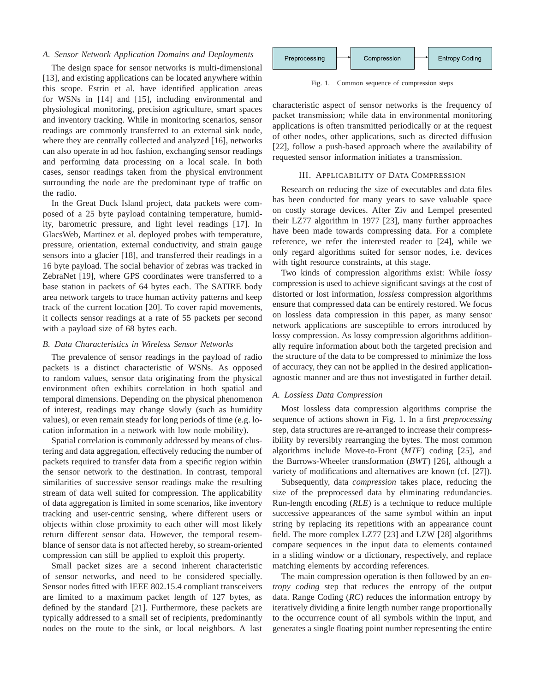## *A. Sensor Network Application Domains and Deployments*

The design space for sensor networks is multi-dimensional [13], and existing applications can be located anywhere within this scope. Estrin et al. have identified application areas for WSNs in [14] and [15], including environmental and physiological monitoring, precision agriculture, smart spaces and inventory tracking. While in monitoring scenarios, sensor readings are commonly transferred to an external sink node, where they are centrally collected and analyzed [16], networks can also operate in ad hoc fashion, exchanging sensor readings and performing data processing on a local scale. In both cases, sensor readings taken from the physical environment surrounding the node are the predominant type of traffic on the radio.

In the Great Duck Island project, data packets were composed of a 25 byte payload containing temperature, humidity, barometric pressure, and light level readings [17]. In GlacsWeb, Martinez et al. deployed probes with temperature, pressure, orientation, external conductivity, and strain gauge sensors into a glacier [18], and transferred their readings in a 16 byte payload. The social behavior of zebras was tracked in ZebraNet [19], where GPS coordinates were transferred to a base station in packets of 64 bytes each. The SATIRE body area network targets to trace human activity patterns and keep track of the current location [20]. To cover rapid movements, it collects sensor readings at a rate of 55 packets per second with a payload size of 68 bytes each.

#### *B. Data Characteristics in Wireless Sensor Networks*

The prevalence of sensor readings in the payload of radio packets is a distinct characteristic of WSNs. As opposed to random values, sensor data originating from the physical environment often exhibits correlation in both spatial and temporal dimensions. Depending on the physical phenomenon of interest, readings may change slowly (such as humidity values), or even remain steady for long periods of time (e.g. location information in a network with low node mobility).

Spatial correlation is commonly addressed by means of clustering and data aggregation, effectively reducing the number of packets required to transfer data from a specific region within the sensor network to the destination. In contrast, temporal similarities of successive sensor readings make the resulting stream of data well suited for compression. The applicability of data aggregation is limited in some scenarios, like inventory tracking and user-centric sensing, where different users or objects within close proximity to each other will most likely return different sensor data. However, the temporal resemblance of sensor data is not affected hereby, so stream-oriented compression can still be applied to exploit this property.

Small packet sizes are a second inherent characteristic of sensor networks, and need to be considered specially. Sensor nodes fitted with IEEE 802.15.4 compliant transceivers are limited to a maximum packet length of 127 bytes, as defined by the standard [21]. Furthermore, these packets are typically addressed to a small set of recipients, predominantly nodes on the route to the sink, or local neighbors. A last



Fig. 1. Common sequence of compression steps

characteristic aspect of sensor networks is the frequency of packet transmission; while data in environmental monitoring applications is often transmitted periodically or at the request of other nodes, other applications, such as directed diffusion [22], follow a push-based approach where the availability of requested sensor information initiates a transmission.

# III. APPLICABILITY OF DATA COMPRESSION

Research on reducing the size of executables and data files has been conducted for many years to save valuable space on costly storage devices. After Ziv and Lempel presented their LZ77 algorithm in 1977 [23], many further approaches have been made towards compressing data. For a complete reference, we refer the interested reader to [24], while we only regard algorithms suited for sensor nodes, i.e. devices with tight resource constraints, at this stage.

Two kinds of compression algorithms exist: While *lossy* compression is used to achieve significant savings at the cost of distorted or lost information, *lossless* compression algorithms ensure that compressed data can be entirely restored. We focus on lossless data compression in this paper, as many sensor network applications are susceptible to errors introduced by lossy compression. As lossy compression algorithms additionally require information about both the targeted precision and the structure of the data to be compressed to minimize the loss of accuracy, they can not be applied in the desired applicationagnostic manner and are thus not investigated in further detail.

#### *A. Lossless Data Compression*

Most lossless data compression algorithms comprise the sequence of actions shown in Fig. 1. In a first *preprocessing* step, data structures are re-arranged to increase their compressibility by reversibly rearranging the bytes. The most common algorithms include Move-to-Front (*MTF*) coding [25], and the Burrows-Wheeler transformation (*BWT*) [26], although a variety of modifications and alternatives are known (cf. [27]).

Subsequently, data *compression* takes place, reducing the size of the preprocessed data by eliminating redundancies. Run-length encoding (*RLE*) is a technique to reduce multiple successive appearances of the same symbol within an input string by replacing its repetitions with an appearance count field. The more complex LZ77 [23] and LZW [28] algorithms compare sequences in the input data to elements contained in a sliding window or a dictionary, respectively, and replace matching elements by according references.

The main compression operation is then followed by an *entropy coding* step that reduces the entropy of the output data. Range Coding (*RC*) reduces the information entropy by iteratively dividing a finite length number range proportionally to the occurrence count of all symbols within the input, and generates a single floating point number representing the entire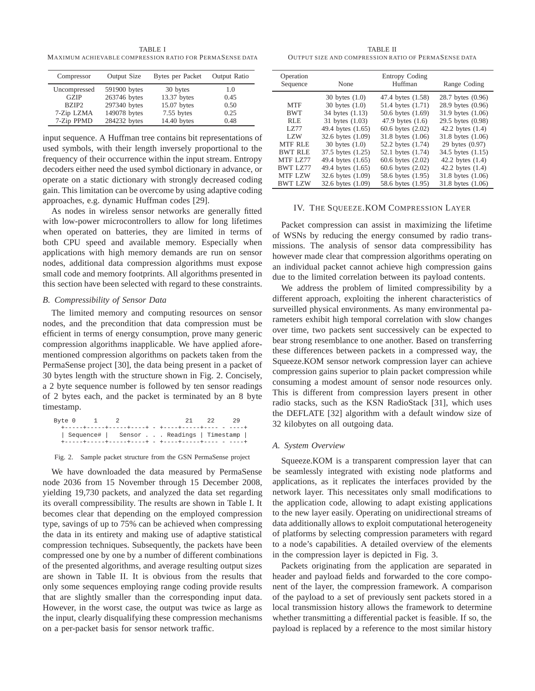TABLE I MAXIMUM ACHIEVABLE COMPRESSION RATIO FOR PERMASENSE DATA

| Compressor        | Output Size  | Bytes per Packet | Output Ratio |
|-------------------|--------------|------------------|--------------|
| Uncompressed      | 591900 bytes | 30 bytes         | 1.0          |
| <b>GZIP</b>       | 263746 bytes | 13.37 bytes      | 0.45         |
| BZIP <sub>2</sub> | 297340 bytes | 15.07 bytes      | 0.50         |
| 7-Zip LZMA        | 149078 bytes | 7.55 bytes       | 0.25         |
| 7-Zip PPMD        | 284232 bytes | 14.40 bytes      | 0.48         |

input sequence. A Huffman tree contains bit representations of used symbols, with their length inversely proportional to the frequency of their occurrence within the input stream. Entropy decoders either need the used symbol dictionary in advance, or operate on a static dictionary with strongly decreased coding gain. This limitation can be overcome by using adaptive coding approaches, e.g. dynamic Huffman codes [29].

As nodes in wireless sensor networks are generally fitted with low-power microcontrollers to allow for long lifetimes when operated on batteries, they are limited in terms of both CPU speed and available memory. Especially when applications with high memory demands are run on sensor nodes, additional data compression algorithms must expose small code and memory footprints. All algorithms presented in this section have been selected with regard to these constraints.

# *B. Compressibility of Sensor Data*

The limited memory and computing resources on sensor nodes, and the precondition that data compression must be efficient in terms of energy consumption, prove many generic compression algorithms inapplicable. We have applied aforementioned compression algorithms on packets taken from the PermaSense project [30], the data being present in a packet of 30 bytes length with the structure shown in Fig. 2. Concisely, a 2 byte sequence number is followed by ten sensor readings of 2 bytes each, and the packet is terminated by an 8 byte timestamp.

| Bvte 0 |  |                                                          |  | 21 | -22 | -29 |
|--------|--|----------------------------------------------------------|--|----|-----|-----|
|        |  | +------+-----+------+----+ - +----+-----+----- - - ----+ |  |    |     |     |
|        |  | Sequence#   Sensor Readings   Timestamp                  |  |    |     |     |
|        |  | +-----+-----+-----+----+ - +----+-----+----- - - ----+   |  |    |     |     |

Fig. 2. Sample packet structure from the GSN PermaSense project

We have downloaded the data measured by PermaSense node 2036 from 15 November through 15 December 2008, yielding 19,730 packets, and analyzed the data set regarding its overall compressibility. The results are shown in Table I. It becomes clear that depending on the employed compression type, savings of up to 75% can be achieved when compressing the data in its entirety and making use of adaptive statistical compression techniques. Subsequently, the packets have been compressed one by one by a number of different combinations of the presented algorithms, and average resulting output sizes are shown in Table II. It is obvious from the results that only some sequences employing range coding provide results that are slightly smaller than the corresponding input data. However, in the worst case, the output was twice as large as the input, clearly disqualifying these compression mechanisms on a per-packet basis for sensor network traffic.

TABLE II OUTPUT SIZE AND COMPRESSION RATIO OF PERMASENSE DATA

| Operation<br>Sequence | None               | Entropy Coding<br>Huffman | Range Coding       |
|-----------------------|--------------------|---------------------------|--------------------|
|                       | 30 bytes $(1.0)$   | 47.4 bytes (1.58)         | 28.7 bytes (0.96)  |
| <b>MTF</b>            | 30 bytes $(1.0)$   | 51.4 bytes (1.71)         | 28.9 bytes (0.96)  |
| <b>BWT</b>            | 34 bytes (1.13)    | 50.6 bytes (1.69)         | 31.9 bytes (1.06)  |
| <b>RLE</b>            | 31 bytes (1.03)    | 47.9 bytes $(1.6)$        | 29.5 bytes (0.98)  |
| LZ77                  | 49.4 bytes (1.65)  | 60.6 bytes (2.02)         | 42.2 bytes $(1.4)$ |
| LZW                   | 32.6 bytes (1.09)  | 31.8 bytes (1.06)         | 31.8 bytes (1.06)  |
| <b>MTF RLE</b>        | $30$ bytes $(1.0)$ | 52.2 bytes (1.74)         | 29 bytes (0.97)    |
| <b>BWT RLE</b>        | 37.5 bytes (1.25)  | 52.1 bytes (1.74)         | 34.5 bytes (1.15)  |
| MTF LZ77              | 49.4 bytes (1.65)  | 60.6 bytes (2.02)         | 42.2 bytes $(1.4)$ |
| <b>BWT LZ77</b>       | 49.4 bytes (1.65)  | 60.6 bytes (2.02)         | 42.2 bytes $(1.4)$ |
| <b>MTF LZW</b>        | 32.6 bytes (1.09)  | 58.6 bytes (1.95)         | 31.8 bytes (1.06)  |
| <b>BWT LZW</b>        | 32.6 bytes (1.09)  | 58.6 bytes (1.95)         | 31.8 bytes (1.06)  |

## IV. THE SQUEEZE.KOM COMPRESSION LAYER

Packet compression can assist in maximizing the lifetime of WSNs by reducing the energy consumed by radio transmissions. The analysis of sensor data compressibility has however made clear that compression algorithms operating on an individual packet cannot achieve high compression gains due to the limited correlation between its payload contents.

We address the problem of limited compressibility by a different approach, exploiting the inherent characteristics of surveilled physical environments. As many environmental parameters exhibit high temporal correlation with slow changes over time, two packets sent successively can be expected to bear strong resemblance to one another. Based on transferring these differences between packets in a compressed way, the Squeeze.KOM sensor network compression layer can achieve compression gains superior to plain packet compression while consuming a modest amount of sensor node resources only. This is different from compression layers present in other radio stacks, such as the KSN RadioStack [31], which uses the DEFLATE [32] algorithm with a default window size of 32 kilobytes on all outgoing data.

#### *A. System Overview*

Squeeze.KOM is a transparent compression layer that can be seamlessly integrated with existing node platforms and applications, as it replicates the interfaces provided by the network layer. This necessitates only small modifications to the application code, allowing to adapt existing applications to the new layer easily. Operating on unidirectional streams of data additionally allows to exploit computational heterogeneity of platforms by selecting compression parameters with regard to a node's capabilities. A detailed overview of the elements in the compression layer is depicted in Fig. 3.

Packets originating from the application are separated in header and payload fields and forwarded to the core component of the layer, the compression framework. A comparison of the payload to a set of previously sent packets stored in a local transmission history allows the framework to determine whether transmitting a differential packet is feasible. If so, the payload is replaced by a reference to the most similar history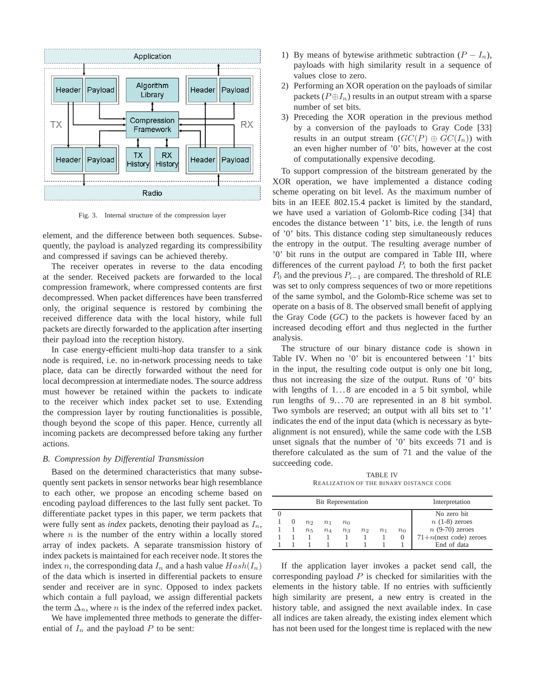

Fig. 3. Internal structure of the compression layer

element, and the difference between both sequences. Subsequently, the payload is analyzed regarding its compressibility and compressed if savings can be achieved thereby.

The receiver operates in reverse to the data encoding at the sender. Received packets are forwarded to the local compression framework, where compressed contents are first decompressed. When packet differences have been transferred only, the original sequence is restored by combining the received difference data with the local history, while full packets are directly forwarded to the application after inserting their payload into the reception history.

In case energy-efficient multi-hop data transfer to a sink node is required, i.e. no in-network processing needs to take place, data can be directly forwarded without the need for local decompression at intermediate nodes. The source address must however be retained within the packets to indicate to the receiver which index packet set to use. Extending the compression layer by routing functionalities is possible, though beyond the scope of this paper. Hence, currently all incoming packets are decompressed before taking any further actions.

## *B. Compression by Differential Transmission*

Based on the determined characteristics that many subsequently sent packets in sensor networks bear high resemblance to each other, we propose an encoding scheme based on encoding payload differences to the last fully sent packet. To differentiate packet types in this paper, we term packets that were fully sent as *index* packets, denoting their payload as  $I_n$ , where  $n$  is the number of the entry within a locally stored array of index packets. A separate transmission history of index packets is maintained for each receiver node. It stores the index n, the corresponding data  $I_n$  and a hash value  $Hash(I_n)$ of the data which is inserted in differential packets to ensure sender and receiver are in sync. Opposed to index packets which contain a full payload, we assign differential packets the term  $\Delta_n$ , where *n* is the index of the referred index packet.

We have implemented three methods to generate the differential of  $I_n$  and the payload P to be sent:

- 1) By means of bytewise arithmetic subtraction  $(P I_n)$ , payloads with high similarity result in a sequence of values close to zero.
- 2) Performing an XOR operation on the payloads of similar packets ( $P \oplus I_n$ ) results in an output stream with a sparse number of set bits.
- 3) Preceding the XOR operation in the previous method by a conversion of the payloads to Gray Code [33] results in an output stream  $(GC(P) \oplus GC(I_n))$  with an even higher number of '0' bits, however at the cost of computationally expensive decoding.

To support compression of the bitstream generated by the XOR operation, we have implemented a distance coding scheme operating on bit level. As the maximum number of bits in an IEEE 802.15.4 packet is limited by the standard, we have used a variation of Golomb-Rice coding [34] that encodes the distance between '1' bits, i.e. the length of runs of '0' bits. This distance coding step simultaneously reduces the entropy in the output. The resulting average number of '0' bit runs in the output are compared in Table III, where differences of the current payload  $P_i$  to both the first packet  $P_0$  and the previous  $P_{i-1}$  are compared. The threshold of RLE was set to only compress sequences of two or more repetitions of the same symbol, and the Golomb-Rice scheme was set to operate on a basis of 8. The observed small benefit of applying the Gray Code (*GC*) to the packets is however faced by an increased decoding effort and thus neglected in the further analysis.

The structure of our binary distance code is shown in Table IV. When no '0' bit is encountered between '1' bits in the input, the resulting code output is only one bit long, thus not increasing the size of the output. Runs of '0' bits with lengths of  $1...8$  are encoded in a 5 bit symbol, while run lengths of 9...70 are represented in an 8 bit symbol. Two symbols are reserved; an output with all bits set to '1' indicates the end of the input data (which is necessary as bytealignment is not ensured), while the same code with the LSB unset signals that the number of '0' bits exceeds 71 and is therefore calculated as the sum of 71 and the value of the succeeding code.

TABLE IV REALIZATION OF THE BINARY DISTANCE CODE

|          |       | <b>Bit Representation</b> | Interpretation |                |         |       |                           |
|----------|-------|---------------------------|----------------|----------------|---------|-------|---------------------------|
|          |       |                           |                |                |         |       | No zero bit               |
| $\theta$ | $n_2$ | $n_{1}$                   | $n_0$          |                |         |       | $n(1-8)$ zeroes           |
|          | $n_5$ | $n_4$                     | $n_3$          | n <sub>2</sub> | $n_{1}$ | $n_0$ | $n(9-70)$ zeroes          |
|          |       |                           |                |                |         |       | $71+n$ (next code) zeroes |
|          |       |                           |                |                |         |       | End of data               |

If the application layer invokes a packet send call, the corresponding payload  $P$  is checked for similarities with the elements in the history table. If no entries with sufficiently high similarity are present, a new entry is created in the history table, and assigned the next available index. In case all indices are taken already, the existing index element which has not been used for the longest time is replaced with the new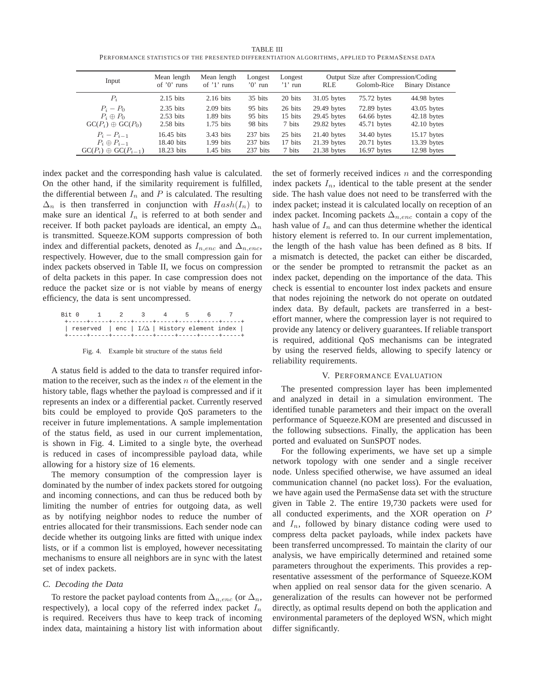TABLE III PERFORMANCE STATISTICS OF THE PRESENTED DIFFERENTIATION ALGORITHMS, APPLIED TO PERMASENSE DATA

| Input                                          | Mean length         | Mean length   | Longest  | Longest   |               | Output Size after Compression/Coding |                        |
|------------------------------------------------|---------------------|---------------|----------|-----------|---------------|--------------------------------------|------------------------|
|                                                | of $'0'$ runs       | of $'1'$ runs | $0'$ run | $'1'$ run | <b>RLE</b>    | Golomb-Rice                          | <b>Binary Distance</b> |
| $P_i$                                          | $2.15$ bits         | $2.16$ bits   | 35 bits  | 20 bits   | $31.05$ bytes | 75.72 bytes                          | 44.98 bytes            |
| $P_i - P_0$                                    | $2.35$ bits         | $2.09$ bits   | 95 bits  | 26 bits   | 29.49 bytes   | 72.89 bytes                          | $43.05$ bytes          |
| $P_i \oplus P_0$                               | $2.53 \text{ bits}$ | $1.89$ bits   | 95 bits  | 15 bits   | $29.45$ bytes | 64.66 bytes                          | $42.18$ bytes          |
| $GC(P_i) \oplus GC(P_0)$                       | $2.58$ bits         | $1.75$ bits   | 98 bits  | 7 bits    | $29.82$ bytes | $45.71$ bytes                        | $42.10$ bytes          |
| $P_i - P_{i-1}$                                | 16.45 bits          | $3.43$ bits   | 237 bits | 25 bits   | $21.40$ bytes | 34.40 bytes                          | 15.17 bytes            |
| $P_i \oplus P_{i-1}$                           | 18.40 bits          | $1.99$ bits   | 237 bits | 17 bits   | $21.39$ bytes | $20.71$ bytes                        | 13.39 bytes            |
| $\mathrm{GC}(P_i) \oplus \mathrm{GC}(P_{i-1})$ | 18.23 bits          | $1.45$ bits   | 237 bits | 7 bits    | $21.38$ bytes | $16.97$ bytes                        | $12.98$ bytes          |

index packet and the corresponding hash value is calculated. On the other hand, if the similarity requirement is fulfilled, the differential between  $I_n$  and  $P$  is calculated. The resulting  $\Delta_n$  is then transferred in conjunction with  $Hash(I_n)$  to make sure an identical  $I_n$  is referred to at both sender and receiver. If both packet payloads are identical, an empty  $\Delta_n$ is transmitted. Squeeze.KOM supports compression of both index and differential packets, denoted as  $I_{n,enc}$  and  $\Delta_{n,enc}$ , respectively. However, due to the small compression gain for index packets observed in Table II, we focus on compression of delta packets in this paper. In case compression does not reduce the packet size or is not viable by means of energy efficiency, the data is sent uncompressed.

| Bit. O |  |                                                           |  |  |  |
|--------|--|-----------------------------------------------------------|--|--|--|
|        |  | reserved $ $ enc $  I/\Delta  $ History element index $ $ |  |  |  |

Fig. 4. Example bit structure of the status field

A status field is added to the data to transfer required information to the receiver, such as the index  $n$  of the element in the history table, flags whether the payload is compressed and if it represents an index or a differential packet. Currently reserved bits could be employed to provide QoS parameters to the receiver in future implementations. A sample implementation of the status field, as used in our current implementation, is shown in Fig. 4. Limited to a single byte, the overhead is reduced in cases of incompressible payload data, while allowing for a history size of 16 elements.

The memory consumption of the compression layer is dominated by the number of index packets stored for outgoing and incoming connections, and can thus be reduced both by limiting the number of entries for outgoing data, as well as by notifying neighbor nodes to reduce the number of entries allocated for their transmissions. Each sender node can decide whether its outgoing links are fitted with unique index lists, or if a common list is employed, however necessitating mechanisms to ensure all neighbors are in sync with the latest set of index packets.

## *C. Decoding the Data*

To restore the packet payload contents from  $\Delta_{n,enc}$  (or  $\Delta_n$ , respectively), a local copy of the referred index packet  $I_n$ is required. Receivers thus have to keep track of incoming index data, maintaining a history list with information about

the set of formerly received indices  $n$  and the corresponding index packets  $I_n$ , identical to the table present at the sender side. The hash value does not need to be transferred with the index packet; instead it is calculated locally on reception of an index packet. Incoming packets  $\Delta_{n,enc}$  contain a copy of the hash value of  $I_n$  and can thus determine whether the identical history element is referred to. In our current implementation, the length of the hash value has been defined as 8 bits. If a mismatch is detected, the packet can either be discarded, or the sender be prompted to retransmit the packet as an index packet, depending on the importance of the data. This check is essential to encounter lost index packets and ensure that nodes rejoining the network do not operate on outdated index data. By default, packets are transferred in a besteffort manner, where the compression layer is not required to provide any latency or delivery guarantees. If reliable transport is required, additional QoS mechanisms can be integrated by using the reserved fields, allowing to specify latency or reliability requirements.

# V. PERFORMANCE EVALUATION

The presented compression layer has been implemented and analyzed in detail in a simulation environment. The identified tunable parameters and their impact on the overall performance of Squeeze.KOM are presented and discussed in the following subsections. Finally, the application has been ported and evaluated on SunSPOT nodes.

For the following experiments, we have set up a simple network topology with one sender and a single receiver node. Unless specified otherwise, we have assumed an ideal communication channel (no packet loss). For the evaluation, we have again used the PermaSense data set with the structure given in Table 2. The entire 19,730 packets were used for all conducted experiments, and the XOR operation on P and  $I_n$ , followed by binary distance coding were used to compress delta packet payloads, while index packets have been transferred uncompressed. To maintain the clarity of our analysis, we have empirically determined and retained some parameters throughout the experiments. This provides a representative assessment of the performance of Squeeze.KOM when applied on real sensor data for the given scenario. A generalization of the results can however not be performed directly, as optimal results depend on both the application and environmental parameters of the deployed WSN, which might differ significantly.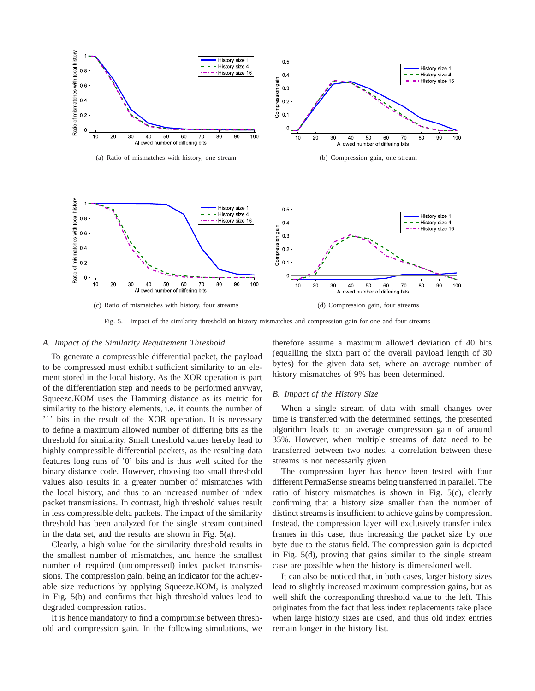

Fig. 5. Impact of the similarity threshold on history mismatches and compression gain for one and four streams

#### *A. Impact of the Similarity Requirement Threshold*

To generate a compressible differential packet, the payload to be compressed must exhibit sufficient similarity to an element stored in the local history. As the XOR operation is part of the differentiation step and needs to be performed anyway, Squeeze.KOM uses the Hamming distance as its metric for similarity to the history elements, i.e. it counts the number of '1' bits in the result of the XOR operation. It is necessary to define a maximum allowed number of differing bits as the threshold for similarity. Small threshold values hereby lead to highly compressible differential packets, as the resulting data features long runs of '0' bits and is thus well suited for the binary distance code. However, choosing too small threshold values also results in a greater number of mismatches with the local history, and thus to an increased number of index packet transmissions. In contrast, high threshold values result in less compressible delta packets. The impact of the similarity threshold has been analyzed for the single stream contained in the data set, and the results are shown in Fig. 5(a).

Clearly, a high value for the similarity threshold results in the smallest number of mismatches, and hence the smallest number of required (uncompressed) index packet transmissions. The compression gain, being an indicator for the achievable size reductions by applying Squeeze.KOM, is analyzed in Fig. 5(b) and confirms that high threshold values lead to degraded compression ratios.

It is hence mandatory to find a compromise between threshold and compression gain. In the following simulations, we therefore assume a maximum allowed deviation of 40 bits (equalling the sixth part of the overall payload length of 30 bytes) for the given data set, where an average number of history mismatches of 9% has been determined.

## *B. Impact of the History Size*

When a single stream of data with small changes over time is transferred with the determined settings, the presented algorithm leads to an average compression gain of around 35%. However, when multiple streams of data need to be transferred between two nodes, a correlation between these streams is not necessarily given.

The compression layer has hence been tested with four different PermaSense streams being transferred in parallel. The ratio of history mismatches is shown in Fig. 5(c), clearly confirming that a history size smaller than the number of distinct streams is insufficient to achieve gains by compression. Instead, the compression layer will exclusively transfer index frames in this case, thus increasing the packet size by one byte due to the status field. The compression gain is depicted in Fig. 5(d), proving that gains similar to the single stream case are possible when the history is dimensioned well.

It can also be noticed that, in both cases, larger history sizes lead to slightly increased maximum compression gains, but as well shift the corresponding threshold value to the left. This originates from the fact that less index replacements take place when large history sizes are used, and thus old index entries remain longer in the history list.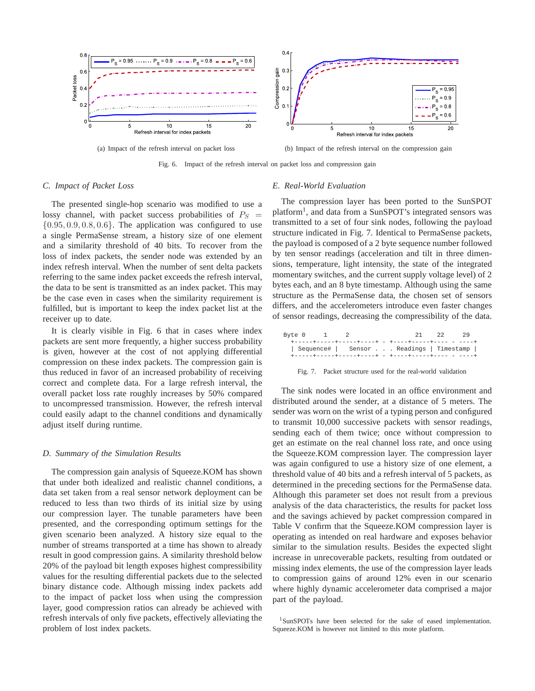

Fig. 6. Impact of the refresh interval on packet loss and compression gain

# *C. Impact of Packet Loss*

The presented single-hop scenario was modified to use a lossy channel, with packet success probabilities of  $P_S$  =  $\{0.95, 0.9, 0.8, 0.6\}$ . The application was configured to use a single PermaSense stream, a history size of one element and a similarity threshold of 40 bits. To recover from the loss of index packets, the sender node was extended by an index refresh interval. When the number of sent delta packets referring to the same index packet exceeds the refresh interval, the data to be sent is transmitted as an index packet. This may be the case even in cases when the similarity requirement is fulfilled, but is important to keep the index packet list at the receiver up to date.

It is clearly visible in Fig. 6 that in cases where index packets are sent more frequently, a higher success probability is given, however at the cost of not applying differential compression on these index packets. The compression gain is thus reduced in favor of an increased probability of receiving correct and complete data. For a large refresh interval, the overall packet loss rate roughly increases by 50% compared to uncompressed transmission. However, the refresh interval could easily adapt to the channel conditions and dynamically adjust itself during runtime.

#### *D. Summary of the Simulation Results*

The compression gain analysis of Squeeze.KOM has shown that under both idealized and realistic channel conditions, a data set taken from a real sensor network deployment can be reduced to less than two thirds of its initial size by using our compression layer. The tunable parameters have been presented, and the corresponding optimum settings for the given scenario been analyzed. A history size equal to the number of streams transported at a time has shown to already result in good compression gains. A similarity threshold below 20% of the payload bit length exposes highest compressibility values for the resulting differential packets due to the selected binary distance code. Although missing index packets add to the impact of packet loss when using the compression layer, good compression ratios can already be achieved with refresh intervals of only five packets, effectively alleviating the problem of lost index packets.

# *E. Real-World Evaluation*

The compression layer has been ported to the SunSPOT platform<sup>1</sup>, and data from a SunSPOT's integrated sensors was transmitted to a set of four sink nodes, following the payload structure indicated in Fig. 7. Identical to PermaSense packets, the payload is composed of a 2 byte sequence number followed by ten sensor readings (acceleration and tilt in three dimensions, temperature, light intensity, the state of the integrated momentary switches, and the current supply voltage level) of 2 bytes each, and an 8 byte timestamp. Although using the same structure as the PermaSense data, the chosen set of sensors differs, and the accelerometers introduce even faster changes of sensor readings, decreasing the compressibility of the data.

| Byte 0 |  |  | - 21 -                                                  | -29 |
|--------|--|--|---------------------------------------------------------|-----|
|        |  |  | +------+-----+-----+----+ - +----+-----+----- - - ----+ |     |
|        |  |  | Sequence#   Sensor Readings   Timestamp                 |     |
|        |  |  | +-----+-----+-----+----+ - +----+-----+----- - - ----+  |     |

Fig. 7. Packet structure used for the real-world validation

The sink nodes were located in an office environment and distributed around the sender, at a distance of 5 meters. The sender was worn on the wrist of a typing person and configured to transmit 10,000 successive packets with sensor readings, sending each of them twice; once without compression to get an estimate on the real channel loss rate, and once using the Squeeze.KOM compression layer. The compression layer was again configured to use a history size of one element, a threshold value of 40 bits and a refresh interval of 5 packets, as determined in the preceding sections for the PermaSense data. Although this parameter set does not result from a previous analysis of the data characteristics, the results for packet loss and the savings achieved by packet compression compared in Table V confirm that the Squeeze.KOM compression layer is operating as intended on real hardware and exposes behavior similar to the simulation results. Besides the expected slight increase in unrecoverable packets, resulting from outdated or missing index elements, the use of the compression layer leads to compression gains of around 12% even in our scenario where highly dynamic accelerometer data comprised a major part of the payload.

<sup>1</sup>SunSPOTs have been selected for the sake of eased implementation. Squeeze.KOM is however not limited to this mote platform.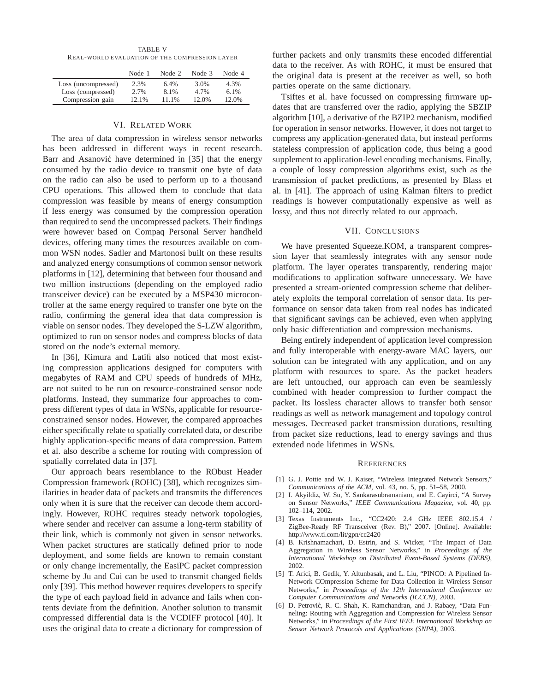TABLE V REAL-WORLD EVALUATION OF THE COMPRESSION LAYER

|                     | Node 1 | Node 2 | Node 3 | Node 4  |
|---------------------|--------|--------|--------|---------|
| Loss (uncompressed) | 2.3%   | 6.4%   | 3.0%   | 4.3%    |
| Loss (compressed)   | 2.7%   | 8.1%   | 4.7%   | $6.1\%$ |
| Compression gain    | 12.1%  | 11.1%  | 12.0%  | 12.0%   |

#### VI. RELATED WORK

The area of data compression in wireless sensor networks has been addressed in different ways in recent research. Barr and Asanović have determined in [35] that the energy consumed by the radio device to transmit one byte of data on the radio can also be used to perform up to a thousand CPU operations. This allowed them to conclude that data compression was feasible by means of energy consumption if less energy was consumed by the compression operation than required to send the uncompressed packets. Their findings were however based on Compaq Personal Server handheld devices, offering many times the resources available on common WSN nodes. Sadler and Martonosi built on these results and analyzed energy consumptions of common sensor network platforms in [12], determining that between four thousand and two million instructions (depending on the employed radio transceiver device) can be executed by a MSP430 microcontroller at the same energy required to transfer one byte on the radio, confirming the general idea that data compression is viable on sensor nodes. They developed the S-LZW algorithm, optimized to run on sensor nodes and compress blocks of data stored on the node's external memory.

In [36], Kimura and Latifi also noticed that most existing compression applications designed for computers with megabytes of RAM and CPU speeds of hundreds of MHz, are not suited to be run on resource-constrained sensor node platforms. Instead, they summarize four approaches to compress different types of data in WSNs, applicable for resourceconstrained sensor nodes. However, the compared approaches either specifically relate to spatially correlated data, or describe highly application-specific means of data compression. Pattem et al. also describe a scheme for routing with compression of spatially correlated data in [37].

Our approach bears resemblance to the RObust Header Compression framework (ROHC) [38], which recognizes similarities in header data of packets and transmits the differences only when it is sure that the receiver can decode them accordingly. However, ROHC requires steady network topologies, where sender and receiver can assume a long-term stability of their link, which is commonly not given in sensor networks. When packet structures are statically defined prior to node deployment, and some fields are known to remain constant or only change incrementally, the EasiPC packet compression scheme by Ju and Cui can be used to transmit changed fields only [39]. This method however requires developers to specify the type of each payload field in advance and fails when contents deviate from the definition. Another solution to transmit compressed differential data is the VCDIFF protocol [40]. It uses the original data to create a dictionary for compression of further packets and only transmits these encoded differential data to the receiver. As with ROHC, it must be ensured that the original data is present at the receiver as well, so both parties operate on the same dictionary.

Tsiftes et al. have focussed on compressing firmware updates that are transferred over the radio, applying the SBZIP algorithm [10], a derivative of the BZIP2 mechanism, modified for operation in sensor networks. However, it does not target to compress any application-generated data, but instead performs stateless compression of application code, thus being a good supplement to application-level encoding mechanisms. Finally, a couple of lossy compression algorithms exist, such as the transmission of packet predictions, as presented by Blass et al. in [41]. The approach of using Kalman filters to predict readings is however computationally expensive as well as lossy, and thus not directly related to our approach.

# VII. CONCLUSIONS

We have presented Squeeze.KOM, a transparent compression layer that seamlessly integrates with any sensor node platform. The layer operates transparently, rendering major modifications to application software unnecessary. We have presented a stream-oriented compression scheme that deliberately exploits the temporal correlation of sensor data. Its performance on sensor data taken from real nodes has indicated that significant savings can be achieved, even when applying only basic differentiation and compression mechanisms.

Being entirely independent of application level compression and fully interoperable with energy-aware MAC layers, our solution can be integrated with any application, and on any platform with resources to spare. As the packet headers are left untouched, our approach can even be seamlessly combined with header compression to further compact the packet. Its lossless character allows to transfer both sensor readings as well as network management and topology control messages. Decreased packet transmission durations, resulting from packet size reductions, lead to energy savings and thus extended node lifetimes in WSNs.

#### **REFERENCES**

- [1] G. J. Pottie and W. J. Kaiser, "Wireless Integrated Network Sensors," *Communications of the ACM*, vol. 43, no. 5, pp. 51–58, 2000.
- [2] I. Akyildiz, W. Su, Y. Sankarasubramaniam, and E. Cayirci, "A Survey on Sensor Networks," *IEEE Communications Magazine*, vol. 40, pp. 102–114, 2002.
- [3] Texas Instruments Inc., "CC2420: 2.4 GHz IEEE 802.15.4 / ZigBee-Ready RF Transceiver (Rev. B)," 2007. [Online]. Available: http://www.ti.com/lit/gpn/cc2420
- [4] B. Krishnamachari, D. Estrin, and S. Wicker, "The Impact of Data Aggregation in Wireless Sensor Networks," in *Proceedings of the International Workshop on Distributed Event-Based Systems (DEBS)*, 2002.
- [5] T. Arici, B. Gedik, Y. Altunbasak, and L. Liu, "PINCO: A Pipelined In-Network COmpression Scheme for Data Collection in Wireless Sensor Networks," in *Proceedings of the 12th International Conference on Computer Communications and Networks (ICCCN)*, 2003.
- [6] D. Petrović, R. C. Shah, K. Ramchandran, and J. Rabaey, "Data Funneling: Routing with Aggregation and Compression for Wireless Sensor Networks," in *Proceedings of the First IEEE International Workshop on Sensor Network Protocols and Applications (SNPA)*, 2003.